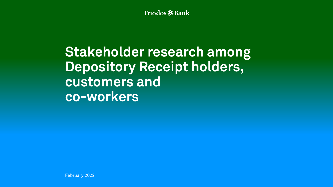Triodos @Bank

# **Stakeholder research among Depository Receipt holders, customers and co-workers**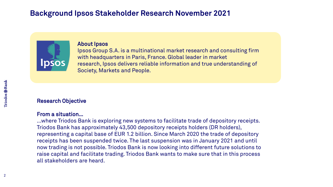# **Background Ipsos Stakeholder Research November 2021**



#### About Ipsos

Ipsos Group S.A. is a multinational market research and consulting firm with headquarters in Paris, France. Global leader in market research, Ipsos delivers reliable information and true understanding of Society, Markets and People.

#### Research Objective

#### From a situation…

…where Triodos Bank is exploring new systems to facilitate trade of depository receipts. Triodos Bank has approximately 43,500 depository receipts holders (DR holders), representing a capital base of EUR 1.2 billion. Since March 2020 the trade of depository receipts has been suspended twice. The last suspension was in January 2021 and until now trading is not possible. Triodos Bank is now looking into different future solutions to raise capital and facilitate trading. Triodos Bank wants to make sure that in this process all stakeholders are heard.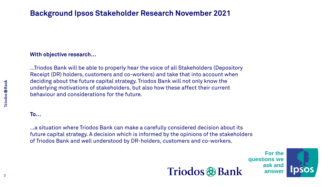# **Background Ipsos Stakeholder Research November 2021**

### **With objective research…**

…Triodos Bank will be able to properly hear the voice of all Stakeholders (Depository Receipt (DR) holders, customers and co-workers) and take that into account when deciding about the future capital strategy. Triodos Bank will not only know the underlying motivations of stakeholders, but also how these affect their current behaviour and considerations for the future.

#### **To…**

…a situation where Triodos Bank can make a carefully considered decision about its future capital strategy. A decision which is informed by the opinions of the stakeholders of Triodos Bank and well understood by DR-holders, customers and co-workers.



**For the questions we ask and answer**

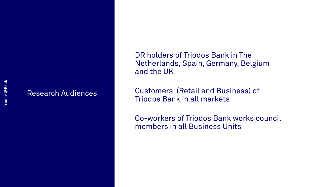## Research Audiences

DR holders of Triodos Bank in The Netherlands, Spain, Germany, Belgium and the UK

Customers (Retail and Business) of Triodos Bank in all markets

Co-workers of Triodos Bank works council members in all Business Units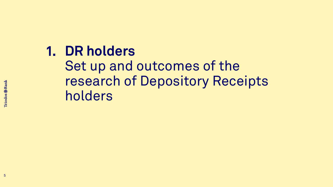# **DR holders 1.**

Set up and outcomes of the research of Depository Receipts holders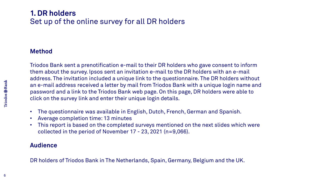# **1. DR holders** Set up of the online survey for all DR holders

## **Method**

Triodos Bank sent a prenotification e-mail to their DR holders who gave consent to inform them about the survey. Ipsos sent an invitation e-mail to the DR holders with an e-mail address. The invitation included a unique link to the questionnaire. The DR holders without an e-mail address received a letter by mail from Triodos Bank with a unique login name and password and a link to the Triodos Bank web page. On this page, DR holders were able to click on the survey link and enter their unique login details.

- The questionnaire was available in English, Dutch, French, German and Spanish.
- Average completion time: 13 minutes
- This report is based on the completed surveys mentioned on the next slides which were collected in the period of November 17 - 23, 2021 (n=9,066).

## **Audience**

DR holders of Triodos Bank in The Netherlands, Spain, Germany, Belgium and the UK.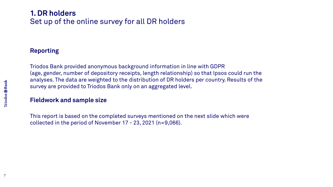# **1. DR holders** Set up of the online survey for all DR holders

## **Reporting**

Triodos Bank provided anonymous background information in line with GDPR (age, gender, number of depository receipts, length relationship) so that Ipsos could run the analyses. The data are weighted to the distribution of DR holders per country. Results of the survey are provided to Triodos Bank only on an aggregated level.

## **Fieldwork and sample size**

This report is based on the completed surveys mentioned on the next slide which were collected in the period of November 17 - 23, 2021 (n=9,066).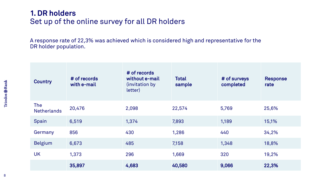# **1. DR holders** Set up of the online survey for all DR holders

A response rate of 22,3% was achieved which is considered high and representative for the DR holder population.

| <b>Country</b>                   | # of records<br>with e-mail | # of records<br>without e-mail<br>(invitation by<br>letter) | <b>Total</b><br>sample | # of surveys<br>completed | <b>Response</b><br>rate |
|----------------------------------|-----------------------------|-------------------------------------------------------------|------------------------|---------------------------|-------------------------|
| <b>The</b><br><b>Netherlands</b> | 20,476                      | 2,098                                                       | 22,574                 | 5,769                     | 25,6%                   |
| Spain                            | 6,519                       | 1,374                                                       | 7,893                  | 1,189                     | 15,1%                   |
| Germany                          | 856                         | 430                                                         | 1,286                  | 440                       | 34,2%                   |
| <b>Belgium</b>                   | 6,673                       | 485                                                         | 7,158                  | 1,348                     | 18,8%                   |
| <b>UK</b>                        | 1,373                       | 296                                                         | 1,669                  | 320                       | 19,2%                   |
|                                  | 35,897                      | 4,683                                                       | 40,580                 | 9,066                     | 22,3%                   |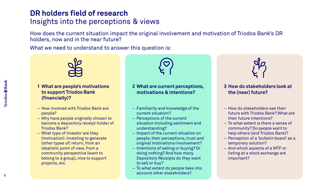# **DR holders field of research** Insights into the perceptions & views

How does the current situation impact the original involvement and motivation of Triodos Bank's DR holders, now and in the near future?

What we need to understand to answer this question is:



#### **1 What are people's motivations to support Triodos Bank (financially)?**

- How involved with Triodos Bank are people?
- ‒ Why have people originally chosen to become a depository receipt holder of Triodos Bank?
- ‒ What type of investor are they (motivation): Investing to generate (other types of) return, from an idealistic point of view, from a community perspective (want to belong to a group), nice to support projects, etc.

#### **2 What are current perceptions, motivations & intentions?**

- ‒ Familiarity and knowledge of the current situation?
- ‒ Perceptions of the current situation including sentiment and understanding?
- ‒ Impact of the current situation on people, their perceptions, trust and original motivations/involvement?
- ‒ Intentions of selling or buying? Or doing nothing? And how many Depository Receipts do they want to sell or buy?
- ‒ To what extent do people take into account other stakeholders?



#### **3 How do stakeholders look at the (near) future?**

- ‒ How do stakeholders see their future with Triodos Bank? What are their future intentions?
- ‒ To what extent is there a sense of community? Do people want to help others (and Triodos Bank)?
- ‒ Perception of a 'bulletin board' as a temporary solution?
- ‒ And which aspects of a MTF or listing at a stock exchange are important?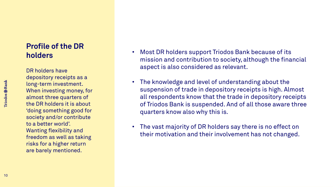# **Profile of the DR holders**

DR holders have depository receipts as a long-term investment. When investing money, for almost three quarters of the DR holders it is about 'doing something good for society and/or contribute to a better world'. Wanting flexibility and freedom as well as taking risks for a higher return are barely mentioned.

- Most DR holders support Triodos Bank because of its mission and contribution to society, although the financial aspect is also considered as relevant.
- The knowledge and level of understanding about the suspension of trade in depository receipts is high. Almost all respondents know that the trade in depository receipts of Triodos Bank is suspended. And of all those aware three quarters know also why this is.
- The vast majority of DR holders say there is no effect on their motivation and their involvement has not changed.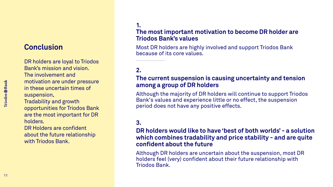# **Conclusion**

DR holders are loyal to Triodos Bank's mission and vision. The involvement and motivation are under pressure in these uncertain times of suspension.

Tradability and growth opportunities for Triodos Bank are the most important for DR holders.

DR Holders are confident about the future relationship with Triodos Bank.

## **1. The most important motivation to become DR holder are Triodos Bank's values**

Most DR holders are highly involved and support Triodos Bank because of its core values.

## **2.**

### **The current suspension is causing uncertainty and tension among a group of DR holders**

Although the majority of DR holders will continue to support Triodos Bank's values and experience little or no effect, the suspension period does not have any positive effects.

#### **3.**

### **DR holders would like to have 'best of both worlds' - a solution which combines tradability and price stability - and are quite confident about the future**

Although DR holders are uncertain about the suspension, most DR holders feel (very) confident about their future relationship with Triodos Bank.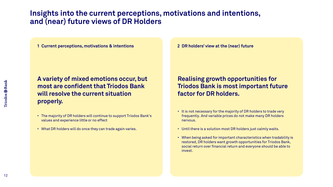# **Insights into the current perceptions, motivations and intentions, and (near) future views of DR Holders**

**1 Current perceptions, motivations & intentions**

**A variety of mixed emotions occur, but most are confident that Triodos Bank will resolve the current situation properly.**

- The majority of DR holders will continue to support Triodos Bank's values and experience little or no effect
- What DR holders will do once they can trade again varies.

**2 DR holders' view at the (near) future**

## **Realising growth opportunities for Triodos Bank is most important future factor for DR holders.**

- It is not necessary for the majority of DR holders to trade very frequently. And variable prices do not make many DR holders nervous.
- Until there is a solution most DR holders just calmly waits.
- When being asked for important characteristics when tradability is restored, DR holders want growth opportunities for Triodos Bank, social return over financial return and everyone should be able to invest.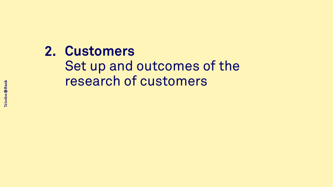# **2. Customers** Set up and outcomes of the research of customers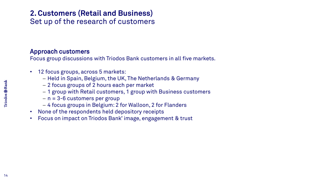# **2. Customers (Retail and Business)** Set up of the research of customers

## Approach customers

Focus group discussions with Triodos Bank customers in all five markets.

- 12 focus groups, across 5 markets:
	- ─ Held in Spain, Belgium, the UK, The Netherlands & Germany
	- ─ 2 focus groups of 2 hours each per market
	- ─ 1 group with Retail customers, 1 group with Business customers
	- ─ n = 3-6 customers per group
	- ─ 4 focus groups in Belgium: 2 for Walloon, 2 for Flanders
- None of the respondents held depository receipts
- Focus on impact on Triodos Bank' image, engagement & trust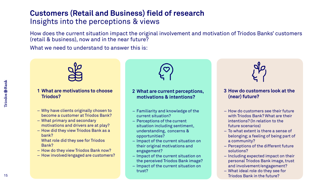# **Customers (Retail and Business) field of research** Insights into the perceptions & views

How does the current situation impact the original involvement and motivation of Triodos Banks' customers (retail & business), now and in the near future?

What we need to understand to answer this is:



#### **1 What are motivations to choose Triodos?**

- ‒ Why have clients originally chosen to become a customer at Triodos Bank?
- ‒ What primary and secondary motivations and drivers are at play?
- How did they view Triodos Bank as a bank?
	- What role did they see for Triodos Bank?
- How do they view Triodos Bank now?
- How involved/engaged are customers?



#### **2 What are current perceptions, motivations & intentions?**

- ‒ Familiarity and knowledge of the current situation?
- ‒ Perceptions of the current situation including sentiment, understanding, concerns & opportunities?
- ‒ Impact of the current situation on their original motivations and engagement?
- ‒ Impact of the current situation on the perceived Triodos Bank image?
- ‒ Impact of the current situation on trust?



#### **3 How do customers look at the (near) future?**

- ‒ How do customers see their future with Triodos Bank? What are their intentions? (In relation to the future scenarios)
- ‒ To what extent is there a sense of belonging; a feeling of being part of a community?
- ‒ Perceptions of the different future solutions?
- ‒ Including expected impact on their personal Triodos Bank image, trust and involvement/engagement?
- ‒ What ideal role do they see for Triodos Bank in the future?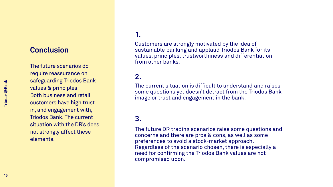The future scenarios do require reassurance on safeguarding Triodos Bank values & principles. Both business and retail customers have high trust in, and engagement with, Triodos Bank. The current situation with the DR's does not strongly affect these elements.

## **1.**

Customers are strongly motivated by the idea of sustainable banking and applaud Triodos Bank for its values, principles, trustworthiness and differentiation from other banks.

## **2.**

The current situation is difficult to understand and raises some questions yet doesn't detract from the Triodos Bank image or trust and engagement in the bank.

## **3.**

The future DR trading scenarios raise some questions and concerns and there are pros & cons, as well as some preferences to avoid a stock -market approach. Regardless of the scenario chosen, there is especially a need for confirming the Triodos Bank values are not compromised upon.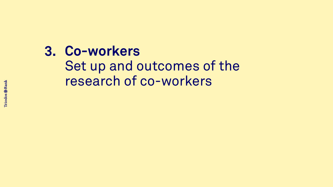# **3. Co-workers** Set up and outcomes of the research of co-workers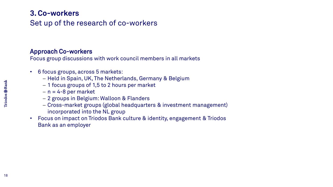# Set up of the research of co-workers **3. Co-workers**

## Approach Co-workers

Focus group discussions with work council members in all markets

- 6 focus groups, across 5 markets:
	- ─ Held in Spain, UK, The Netherlands, Germany & Belgium
	- ─ 1 focus groups of 1,5 to 2 hours per market
	- $n = 4-8$  per market
	- ─ 2 groups in Belgium: Walloon & Flanders
	- ─ Cross-market groups (global headquarters & investment management) incorporated into the NL group
- Focus on impact on Triodos Bank culture & identity, engagement & Triodos Bank as an employer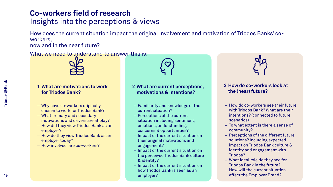# **Co-workers field of research** Insights into the perceptions & views

How does the current situation impact the original involvement and motivation of Triodos Banks' coworkers,

now and in the near future?

What we need to understand to answer this is:



#### **1 What are motivations to work for Triodos Bank?**

- ‒ Why have co-workers originally chosen to work for Triodos Bank?
- ‒ What primary and secondary motivations and drivers are at play?
- ‒ How did they view Triodos Bank as an employer?
- How do they view Triodos Bank as an employer today?
- ‒ How involved are co-workers?

#### **2 What are current perceptions, motivations & intentions?**

- ‒ Familiarity and knowledge of the current situation?
- Perceptions of the current situation including sentiment, emotions, understanding, concerns & opportunities?
- ‒ Impact of the current situation on their original motivations and engagement?
- ‒ Impact of the current situation on the perceived Triodos Bank culture & identity?
- Impact of the current situation on how Triodos Bank is seen as an employer?



#### **3 How do co-workers look at the (near) future?**

- ‒ How do co-workers see their future with Triodos Bank? What are their intentions? (connected to future scenarios)
- ‒ To what extent is there a sense of community?
- ‒ Perceptions of the different future solutions? Including expected impact on Triodos Bank culture & identity and engagement with Triodos?
- ‒ What ideal role do they see for Triodos Bank in the future?
- ‒ How will the current situation effect the Employer Brand?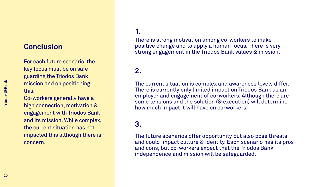## **Conclusion**

For each future scenario, the key focus must be on safeguarding the Triodos Bank mission and on positioning this.

Co-workers generally have a high connection, motivation & engagement with Triodos Bank and its mission. While complex, the current situation has not impacted this although there is concern.

## **1.**

There is strong motivation among co-workers to make positive change and to apply a human focus. There is very strong engagement in the Triodos Bank values & mission.

## **2.**

The current situation is complex and awareness levels differ. There is currently only limited impact on Triodos Bank as an employer and engagement of co-workers. Although there are some tensions and the solution (& execution) will determine how much impact it will have on co-workers.

### **3.**

The future scenarios offer opportunity but also pose threats and could impact culture & identity. Each scenario has its pros and cons, but co-workers expect that the Triodos Bank independence and mission will be safeguarded.